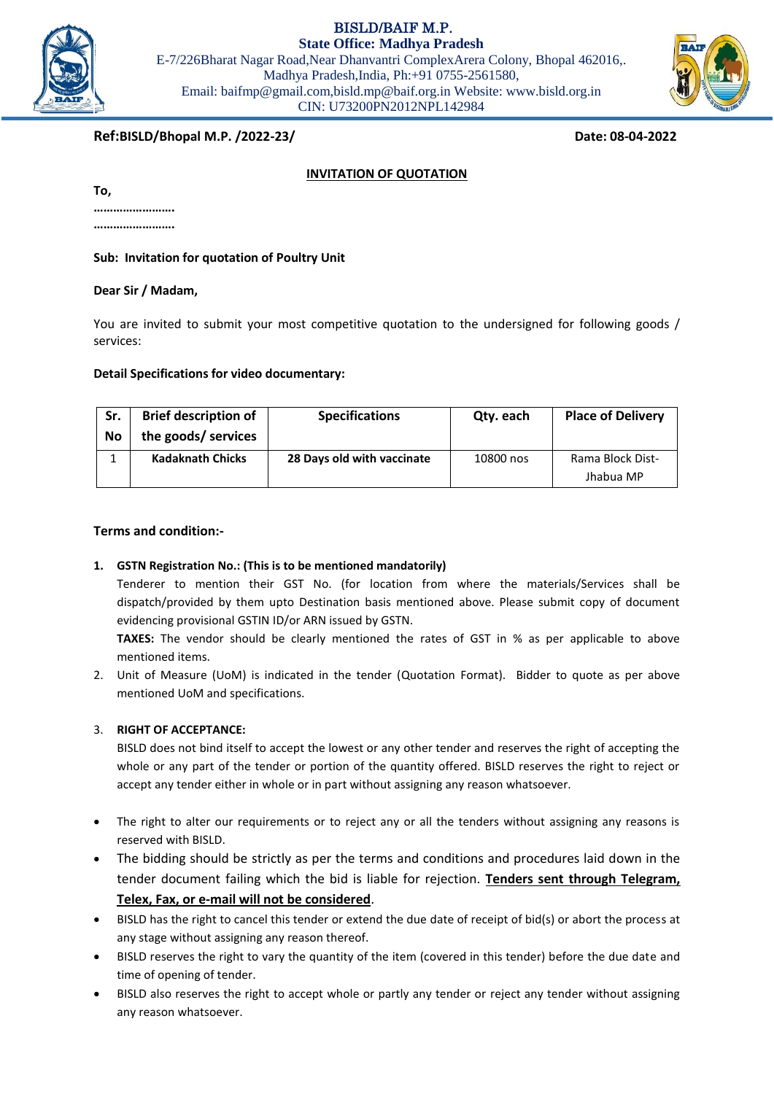BISLD/BAIF M.P.



Email: baifmp@gmail.com,bisld.mp@baif.org.in Website: www.bisld.org.in CIN: U73200PN2012NPL142984



# **Ref:BISLD/Bhopal M.P. /2022-23/ Date: 08-04-2022**

## **INVITATION OF QUOTATION**

| 10. |  |  |  |
|-----|--|--|--|
|     |  |  |  |

**…………………….**

**Sub: Invitation for quotation of Poultry Unit**

#### **Dear Sir / Madam,**

You are invited to submit your most competitive quotation to the undersigned for following goods / services:

#### **Detail Specifications for video documentary:**

| Sr.<br>No | <b>Brief description of</b><br>the goods/ services | <b>Specifications</b>      | Qty. each | <b>Place of Delivery</b>      |
|-----------|----------------------------------------------------|----------------------------|-----------|-------------------------------|
|           | <b>Kadaknath Chicks</b>                            | 28 Days old with vaccinate | 10800 nos | Rama Block Dist-<br>Jhabua MP |

#### **Terms and condition:-**

### **1. GSTN Registration No.: (This is to be mentioned mandatorily)**

Tenderer to mention their GST No. (for location from where the materials/Services shall be dispatch/provided by them upto Destination basis mentioned above. Please submit copy of document evidencing provisional GSTIN ID/or ARN issued by GSTN.

**TAXES:** The vendor should be clearly mentioned the rates of GST in % as per applicable to above mentioned items.

2. Unit of Measure (UoM) is indicated in the tender (Quotation Format). Bidder to quote as per above mentioned UoM and specifications.

### 3. **RIGHT OF ACCEPTANCE:**

BISLD does not bind itself to accept the lowest or any other tender and reserves the right of accepting the whole or any part of the tender or portion of the quantity offered. BISLD reserves the right to reject or accept any tender either in whole or in part without assigning any reason whatsoever.

- The right to alter our requirements or to reject any or all the tenders without assigning any reasons is reserved with BISLD.
- The bidding should be strictly as per the terms and conditions and procedures laid down in the tender document failing which the bid is liable for rejection. **Tenders sent through Telegram, Telex, Fax, or e-mail will not be considered**.
- BISLD has the right to cancel this tender or extend the due date of receipt of bid(s) or abort the process at any stage without assigning any reason thereof.
- BISLD reserves the right to vary the quantity of the item (covered in this tender) before the due date and time of opening of tender.
- BISLD also reserves the right to accept whole or partly any tender or reject any tender without assigning any reason whatsoever.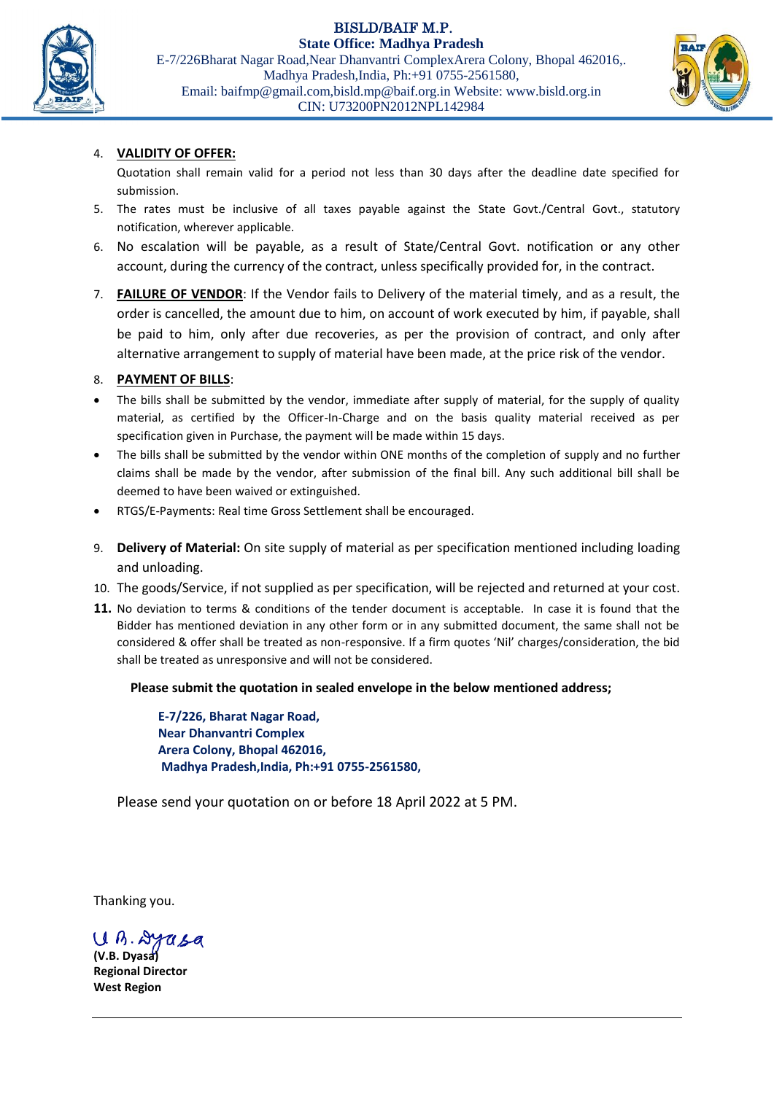BISLD/BAIF M.P.



**State Office: Madhya Pradesh** E-7/226Bharat Nagar Road,Near Dhanvantri ComplexArera Colony, Bhopal 462016,. Madhya Pradesh,India, Ph:+91 0755-2561580, Email: baifmp@gmail.com,bisld.mp@baif.org.in Website: www.bisld.org.in CIN: U73200PN2012NPL142984



# 4. **VALIDITY OF OFFER:**

Quotation shall remain valid for a period not less than 30 days after the deadline date specified for submission.

- 5. The rates must be inclusive of all taxes payable against the State Govt./Central Govt., statutory notification, wherever applicable.
- 6. No escalation will be payable, as a result of State/Central Govt. notification or any other account, during the currency of the contract, unless specifically provided for, in the contract.
- 7. **FAILURE OF VENDOR**: If the Vendor fails to Delivery of the material timely, and as a result, the order is cancelled, the amount due to him, on account of work executed by him, if payable, shall be paid to him, only after due recoveries, as per the provision of contract, and only after alternative arrangement to supply of material have been made, at the price risk of the vendor.

## 8. **PAYMENT OF BILLS**:

- The bills shall be submitted by the vendor, immediate after supply of material, for the supply of quality material, as certified by the Officer-In-Charge and on the basis quality material received as per specification given in Purchase, the payment will be made within 15 days.
- The bills shall be submitted by the vendor within ONE months of the completion of supply and no further claims shall be made by the vendor, after submission of the final bill. Any such additional bill shall be deemed to have been waived or extinguished.
- RTGS/E-Payments: Real time Gross Settlement shall be encouraged.
- 9. **Delivery of Material:** On site supply of material as per specification mentioned including loading and unloading.
- 10. The goods/Service, if not supplied as per specification, will be rejected and returned at your cost.
- **11.** No deviation to terms & conditions of the tender document is acceptable. In case it is found that the Bidder has mentioned deviation in any other form or in any submitted document, the same shall not be considered & offer shall be treated as non-responsive. If a firm quotes 'Nil' charges/consideration, the bid shall be treated as unresponsive and will not be considered.

# **Please submit the quotation in sealed envelope in the below mentioned address;**

**E-7/226, Bharat Nagar Road, Near Dhanvantri Complex Arera Colony, Bhopal 462016, Madhya Pradesh,India, Ph:+91 0755-2561580,**

Please send your quotation on or before 18 April 2022 at 5 PM.

Thanking you.

Uh. Drasa

**(V.B. Dyasa) Regional Director West Region**